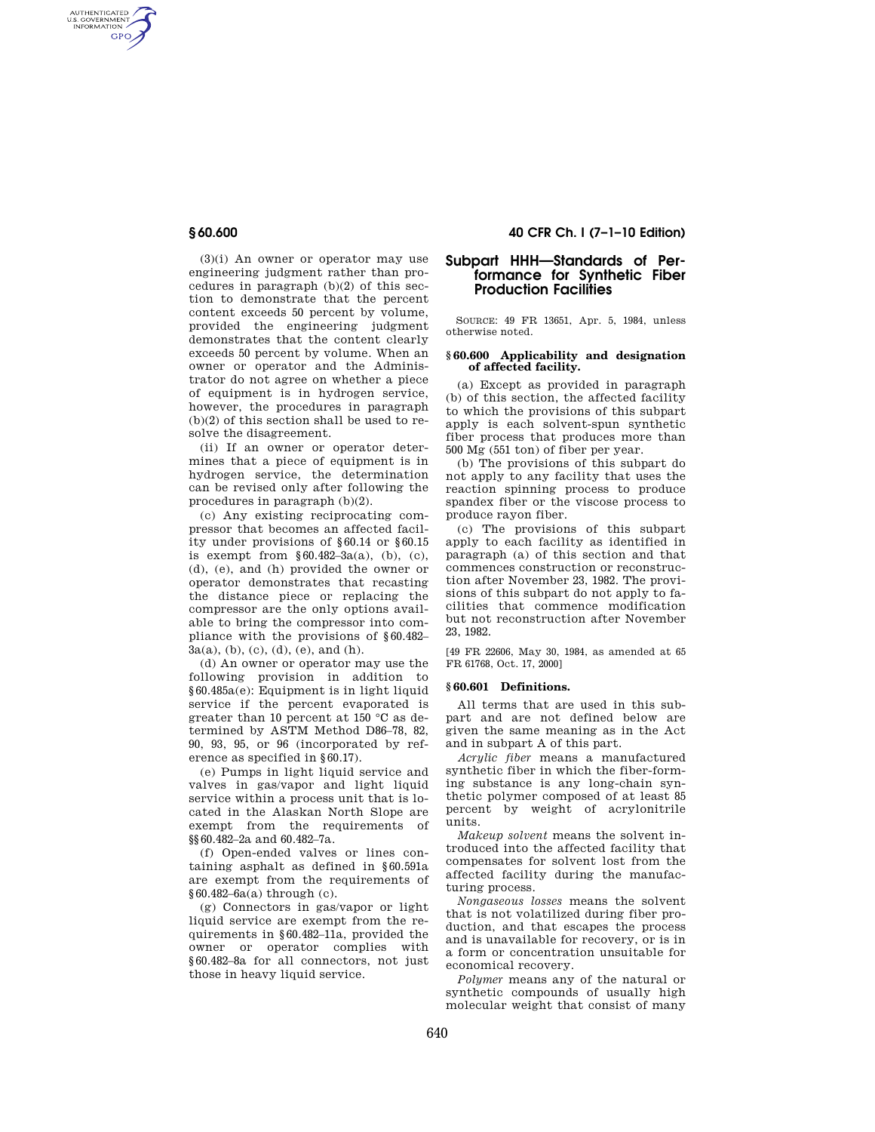AUTHENTICATED<br>U.S. GOVERNMENT<br>INFORMATION GPO

> (3)(i) An owner or operator may use engineering judgment rather than procedures in paragraph  $(b)(2)$  of this section to demonstrate that the percent content exceeds 50 percent by volume, provided the engineering judgment demonstrates that the content clearly exceeds 50 percent by volume. When an owner or operator and the Administrator do not agree on whether a piece of equipment is in hydrogen service, however, the procedures in paragraph (b)(2) of this section shall be used to resolve the disagreement.

> (ii) If an owner or operator determines that a piece of equipment is in hydrogen service, the determination can be revised only after following the procedures in paragraph (b)(2).

> (c) Any existing reciprocating compressor that becomes an affected facility under provisions of §60.14 or §60.15 is exempt from  $§ 60.482-3a(a), (b), (c),$ (d), (e), and (h) provided the owner or operator demonstrates that recasting the distance piece or replacing the compressor are the only options available to bring the compressor into compliance with the provisions of §60.482–  $3a(a)$ , (b), (c), (d), (e), and (h).

> (d) An owner or operator may use the following provision in addition to §60.485a(e): Equipment is in light liquid service if the percent evaporated is greater than 10 percent at 150 °C as determined by ASTM Method D86–78, 82, 90, 93, 95, or 96 (incorporated by reference as specified in §60.17).

> (e) Pumps in light liquid service and valves in gas/vapor and light liquid service within a process unit that is located in the Alaskan North Slope are exempt from the requirements of §§60.482–2a and 60.482–7a.

> (f) Open-ended valves or lines containing asphalt as defined in §60.591a are exempt from the requirements of §60.482–6a(a) through (c).

> (g) Connectors in gas/vapor or light liquid service are exempt from the requirements in §60.482–11a, provided the owner or operator complies with §60.482–8a for all connectors, not just those in heavy liquid service.

# **§ 60.600 40 CFR Ch. I (7–1–10 Edition)**

# **Subpart HHH—Standards of Performance for Synthetic Fiber Production Facilities**

SOURCE: 49 FR 13651, Apr. 5, 1984, unless otherwise noted.

## **§ 60.600 Applicability and designation of affected facility.**

(a) Except as provided in paragraph (b) of this section, the affected facility to which the provisions of this subpart apply is each solvent-spun synthetic fiber process that produces more than 500 Mg (551 ton) of fiber per year.

(b) The provisions of this subpart do not apply to any facility that uses the reaction spinning process to produce spandex fiber or the viscose process to produce rayon fiber.

(c) The provisions of this subpart apply to each facility as identified in paragraph (a) of this section and that commences construction or reconstruction after November 23, 1982. The provisions of this subpart do not apply to facilities that commence modification but not reconstruction after November 23, 1982.

[49 FR 22606, May 30, 1984, as amended at 65 FR 61768, Oct. 17, 2000]

### **§ 60.601 Definitions.**

All terms that are used in this subpart and are not defined below are given the same meaning as in the Act and in subpart A of this part.

*Acrylic fiber* means a manufactured synthetic fiber in which the fiber-forming substance is any long-chain synthetic polymer composed of at least 85 percent by weight of acrylonitrile units.

*Makeup solvent* means the solvent introduced into the affected facility that compensates for solvent lost from the affected facility during the manufacturing process.

*Nongaseous losses* means the solvent that is not volatilized during fiber production, and that escapes the process and is unavailable for recovery, or is in a form or concentration unsuitable for economical recovery.

*Polymer* means any of the natural or synthetic compounds of usually high molecular weight that consist of many